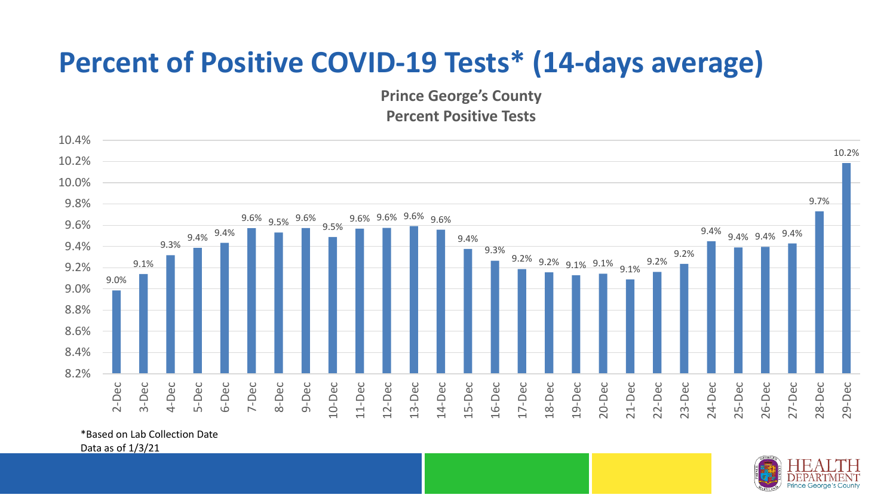## **Percent of Positive COVID-19 Tests\* (14-days average)**

**Prince George's County Percent Positive Tests**



\*Based on Lab Collection Date

Data as of 1/3/21

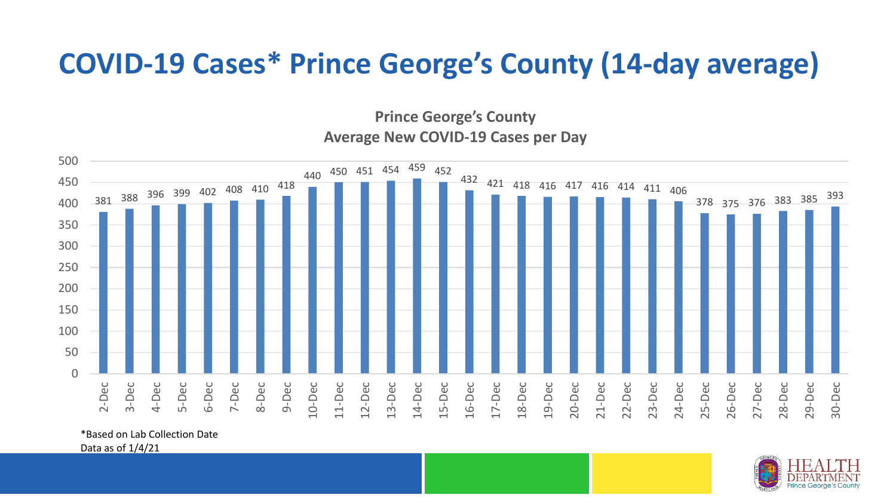## **COVID-19 Cases\* Prince George's County (14-day average)**

**Prince George's County Average New COVID-19 Cases per Day**



\*Based on Lab Collection Date

Data as of 1/4/21